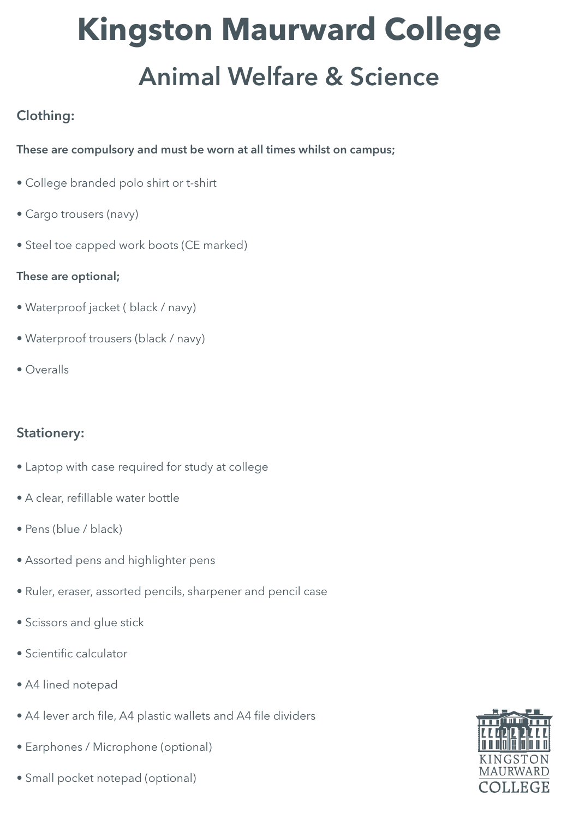# **Kingston Maurward College** Animal Welfare & Science

# Clothing:

#### These are compulsory and must be worn at all times whilst on campus;

- College branded polo shirt or t-shirt
- Cargo trousers (navy)
- Steel toe capped work boots (CE marked)

#### These are optional;

- Waterproof jacket ( black / navy)
- Waterproof trousers (black / navy)
- Overalls

### Stationery:

- Laptop with case required for study at college
- A clear, refillable water bottle
- Pens (blue / black)
- Assorted pens and highlighter pens
- Ruler, eraser, assorted pencils, sharpener and pencil case
- Scissors and glue stick
- Scientific calculator
- A4 lined notepad
- A4 lever arch file, A4 plastic wallets and A4 file dividers
- Earphones / Microphone (optional)
- Small pocket notepad (optional)